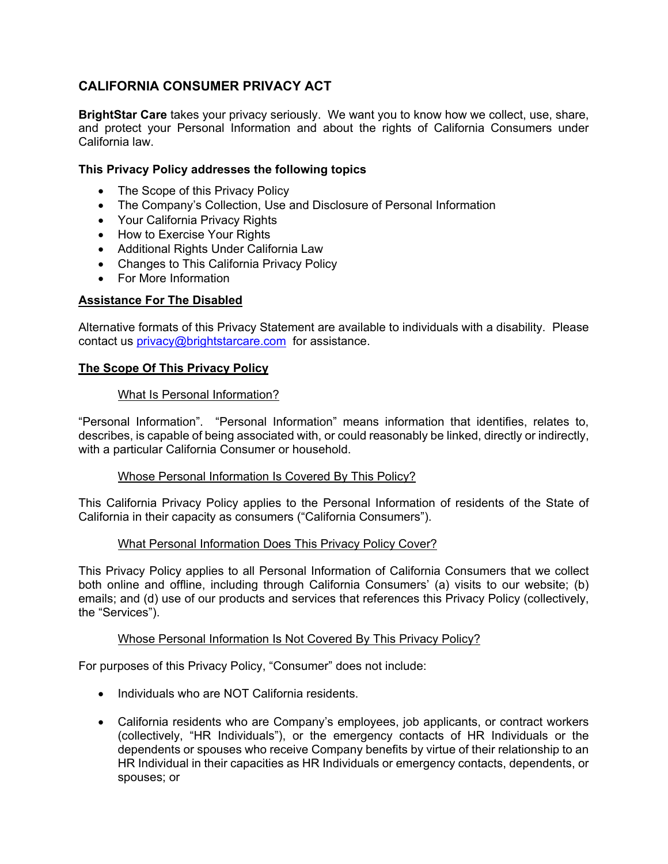# **CALIFORNIA CONSUMER PRIVACY ACT**

**BrightStar Care** takes your privacy seriously. We want you to know how we collect, use, share, and protect your Personal Information and about the rights of California Consumers under California law.

## **This Privacy Policy addresses the following topics**

- The Scope of this Privacy Policy
- The Company's Collection, Use and Disclosure of Personal Information
- Your California Privacy Rights
- How to Exercise Your Rights
- Additional Rights Under California Law
- Changes to This California Privacy Policy
- For More Information

## **Assistance For The Disabled**

Alternative formats of this Privacy Statement are available to individuals with a disability. Please contact us [privacy@brightstarcare.com](mailto:privacy@brightstarcare.com) for assistance.

## **The Scope Of This Privacy Policy**

#### What Is Personal Information?

"Personal Information". "Personal Information" means information that identifies, relates to, describes, is capable of being associated with, or could reasonably be linked, directly or indirectly, with a particular California Consumer or household.

#### Whose Personal Information Is Covered By This Policy?

This California Privacy Policy applies to the Personal Information of residents of the State of California in their capacity as consumers ("California Consumers").

#### What Personal Information Does This Privacy Policy Cover?

This Privacy Policy applies to all Personal Information of California Consumers that we collect both online and offline, including through California Consumers' (a) visits to our website; (b) emails; and (d) use of our products and services that references this Privacy Policy (collectively, the "Services").

#### Whose Personal Information Is Not Covered By This Privacy Policy?

For purposes of this Privacy Policy, "Consumer" does not include:

- Individuals who are NOT California residents.
- California residents who are Company's employees, job applicants, or contract workers (collectively, "HR Individuals"), or the emergency contacts of HR Individuals or the dependents or spouses who receive Company benefits by virtue of their relationship to an HR Individual in their capacities as HR Individuals or emergency contacts, dependents, or spouses; or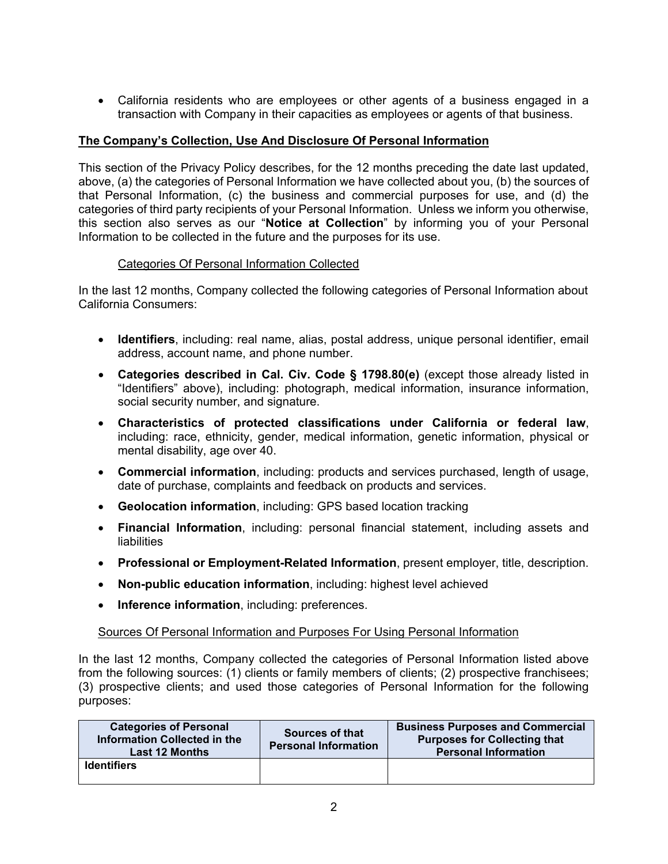• California residents who are employees or other agents of a business engaged in a transaction with Company in their capacities as employees or agents of that business.

# **The Company's Collection, Use And Disclosure Of Personal Information**

This section of the Privacy Policy describes, for the 12 months preceding the date last updated, above, (a) the categories of Personal Information we have collected about you, (b) the sources of that Personal Information, (c) the business and commercial purposes for use, and (d) the categories of third party recipients of your Personal Information. Unless we inform you otherwise, this section also serves as our "**Notice at Collection**" by informing you of your Personal Information to be collected in the future and the purposes for its use.

## Categories Of Personal Information Collected

In the last 12 months, Company collected the following categories of Personal Information about California Consumers:

- **Identifiers**, including: real name, alias, postal address, unique personal identifier, email address, account name, and phone number.
- **Categories described in Cal. Civ. Code § 1798.80(e)** (except those already listed in "Identifiers" above), including: photograph, medical information, insurance information, social security number, and signature.
- **Characteristics of protected classifications under California or federal law**, including: race, ethnicity, gender, medical information, genetic information, physical or mental disability, age over 40.
- **Commercial information**, including: products and services purchased, length of usage, date of purchase, complaints and feedback on products and services.
- **Geolocation information**, including: GPS based location tracking
- **Financial Information**, including: personal financial statement, including assets and liabilities
- **Professional or Employment-Related Information**, present employer, title, description.
- **Non-public education information**, including: highest level achieved
- **Inference information**, including: preferences.

## Sources Of Personal Information and Purposes For Using Personal Information

In the last 12 months, Company collected the categories of Personal Information listed above from the following sources: (1) clients or family members of clients; (2) prospective franchisees; (3) prospective clients; and used those categories of Personal Information for the following purposes:

| <b>Categories of Personal</b><br>Information Collected in the<br><b>Last 12 Months</b> | Sources of that<br><b>Personal Information</b> | <b>Business Purposes and Commercial</b><br><b>Purposes for Collecting that</b><br><b>Personal Information</b> |
|----------------------------------------------------------------------------------------|------------------------------------------------|---------------------------------------------------------------------------------------------------------------|
| <b>Identifiers</b>                                                                     |                                                |                                                                                                               |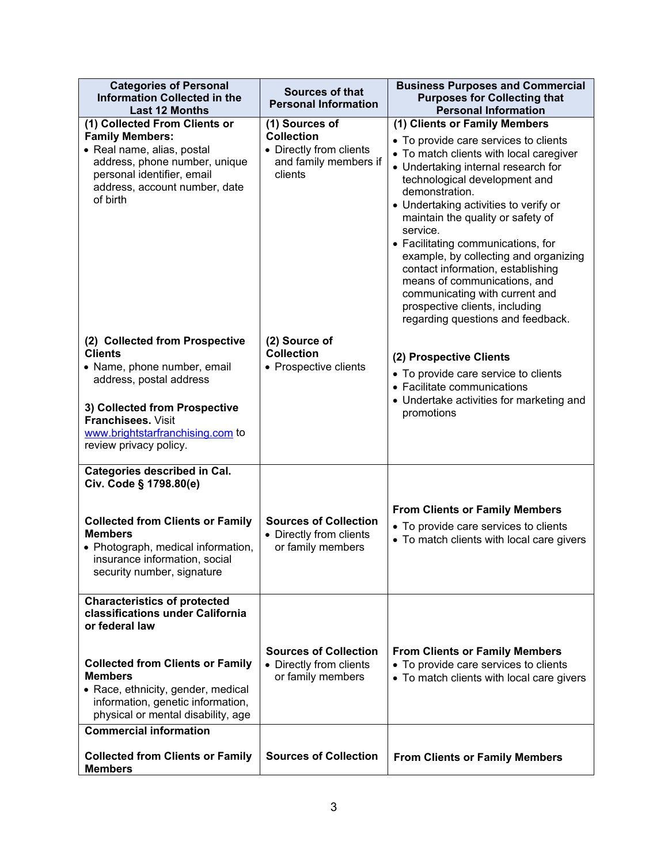| (1) Clients or Family Members<br>• To provide care services to clients<br>• To match clients with local caregiver<br>• Undertaking internal research for<br>technological development and<br>demonstration.                                                                                                                                         |
|-----------------------------------------------------------------------------------------------------------------------------------------------------------------------------------------------------------------------------------------------------------------------------------------------------------------------------------------------------|
|                                                                                                                                                                                                                                                                                                                                                     |
| • Undertaking activities to verify or<br>maintain the quality or safety of<br>service.<br>• Facilitating communications, for<br>example, by collecting and organizing<br>contact information, establishing<br>means of communications, and<br>communicating with current and<br>prospective clients, including<br>regarding questions and feedback. |
| (2) Prospective Clients<br>• To provide care service to clients<br>• Facilitate communications<br>• Undertake activities for marketing and<br>promotions                                                                                                                                                                                            |
|                                                                                                                                                                                                                                                                                                                                                     |
| <b>From Clients or Family Members</b><br>• To provide care services to clients<br>• To match clients with local care givers                                                                                                                                                                                                                         |
|                                                                                                                                                                                                                                                                                                                                                     |
| <b>From Clients or Family Members</b><br>• To provide care services to clients<br>• To match clients with local care givers                                                                                                                                                                                                                         |
| <b>From Clients or Family Members</b>                                                                                                                                                                                                                                                                                                               |
|                                                                                                                                                                                                                                                                                                                                                     |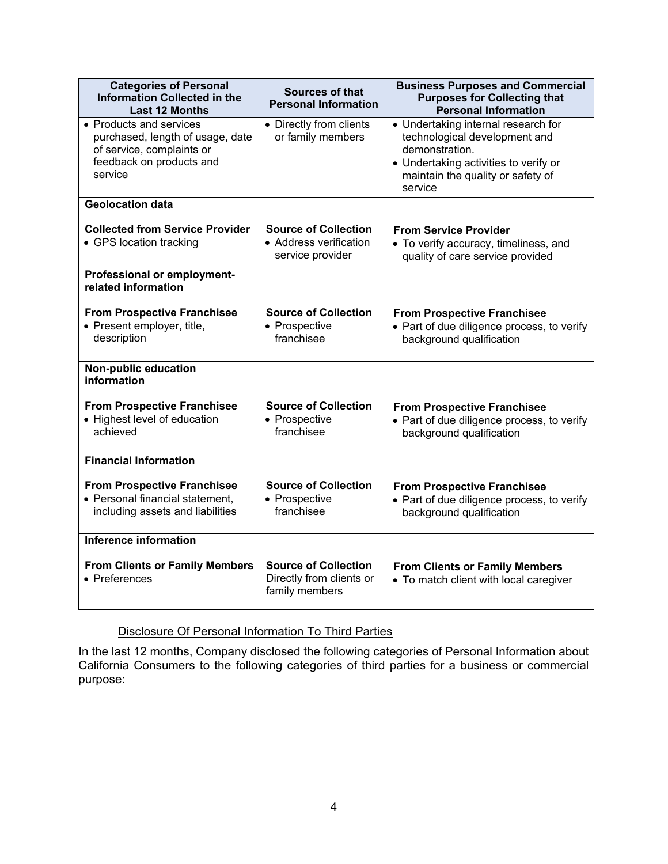| <b>Categories of Personal</b><br><b>Information Collected in the</b><br><b>Last 12 Months</b>                                   | <b>Sources of that</b><br><b>Personal Information</b>                     | <b>Business Purposes and Commercial</b><br><b>Purposes for Collecting that</b><br><b>Personal Information</b>                                                                   |
|---------------------------------------------------------------------------------------------------------------------------------|---------------------------------------------------------------------------|---------------------------------------------------------------------------------------------------------------------------------------------------------------------------------|
| • Products and services<br>purchased, length of usage, date<br>of service, complaints or<br>feedback on products and<br>service | • Directly from clients<br>or family members                              | • Undertaking internal research for<br>technological development and<br>demonstration.<br>• Undertaking activities to verify or<br>maintain the quality or safety of<br>service |
| <b>Geolocation data</b>                                                                                                         |                                                                           |                                                                                                                                                                                 |
| <b>Collected from Service Provider</b><br>• GPS location tracking                                                               | <b>Source of Collection</b><br>• Address verification<br>service provider | <b>From Service Provider</b><br>• To verify accuracy, timeliness, and<br>quality of care service provided                                                                       |
| Professional or employment-<br>related information                                                                              |                                                                           |                                                                                                                                                                                 |
| <b>From Prospective Franchisee</b><br>• Present employer, title,<br>description                                                 | <b>Source of Collection</b><br>• Prospective<br>franchisee                | <b>From Prospective Franchisee</b><br>• Part of due diligence process, to verify<br>background qualification                                                                    |
| Non-public education<br>information                                                                                             |                                                                           |                                                                                                                                                                                 |
| <b>From Prospective Franchisee</b><br>• Highest level of education<br>achieved                                                  | <b>Source of Collection</b><br>• Prospective<br>franchisee                | <b>From Prospective Franchisee</b><br>• Part of due diligence process, to verify<br>background qualification                                                                    |
| <b>Financial Information</b>                                                                                                    |                                                                           |                                                                                                                                                                                 |
| <b>From Prospective Franchisee</b><br>• Personal financial statement,<br>including assets and liabilities                       | <b>Source of Collection</b><br>• Prospective<br>franchisee                | <b>From Prospective Franchisee</b><br>• Part of due diligence process, to verify<br>background qualification                                                                    |
| Inference information                                                                                                           |                                                                           |                                                                                                                                                                                 |
| <b>From Clients or Family Members</b><br>• Preferences                                                                          | <b>Source of Collection</b><br>Directly from clients or<br>family members | <b>From Clients or Family Members</b><br>• To match client with local caregiver                                                                                                 |

# Disclosure Of Personal Information To Third Parties

In the last 12 months, Company disclosed the following categories of Personal Information about California Consumers to the following categories of third parties for a business or commercial purpose: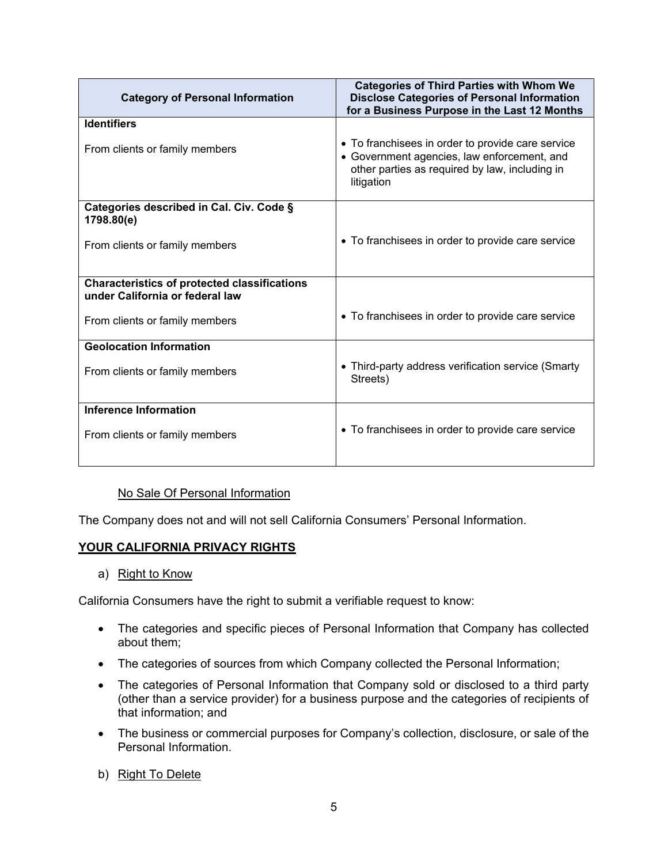| <b>Category of Personal Information</b>                                                | <b>Categories of Third Parties with Whom We</b><br><b>Disclose Categories of Personal Information</b><br>for a Business Purpose in the Last 12 Months            |
|----------------------------------------------------------------------------------------|------------------------------------------------------------------------------------------------------------------------------------------------------------------|
| <b>Identifiers</b>                                                                     |                                                                                                                                                                  |
| From clients or family members                                                         | • To franchisees in order to provide care service<br>• Government agencies, law enforcement, and<br>other parties as required by law, including in<br>litigation |
| Categories described in Cal. Civ. Code §<br>1798.80(e)                                 |                                                                                                                                                                  |
| From clients or family members                                                         | • To franchisees in order to provide care service                                                                                                                |
| <b>Characteristics of protected classifications</b><br>under California or federal law |                                                                                                                                                                  |
| From clients or family members                                                         | • To franchisees in order to provide care service                                                                                                                |
| <b>Geolocation Information</b>                                                         |                                                                                                                                                                  |
| From clients or family members                                                         | • Third-party address verification service (Smarty<br>Streets)                                                                                                   |
| <b>Inference Information</b>                                                           |                                                                                                                                                                  |
| From clients or family members                                                         | • To franchisees in order to provide care service                                                                                                                |

## No Sale Of Personal Information

The Company does not and will not sell California Consumers' Personal Information.

## **YOUR CALIFORNIA PRIVACY RIGHTS**

## a) Right to Know

California Consumers have the right to submit a verifiable request to know:

- The categories and specific pieces of Personal Information that Company has collected about them;
- The categories of sources from which Company collected the Personal Information;
- The categories of Personal Information that Company sold or disclosed to a third party (other than a service provider) for a business purpose and the categories of recipients of that information; and
- The business or commercial purposes for Company's collection, disclosure, or sale of the Personal Information.
- b) Right To Delete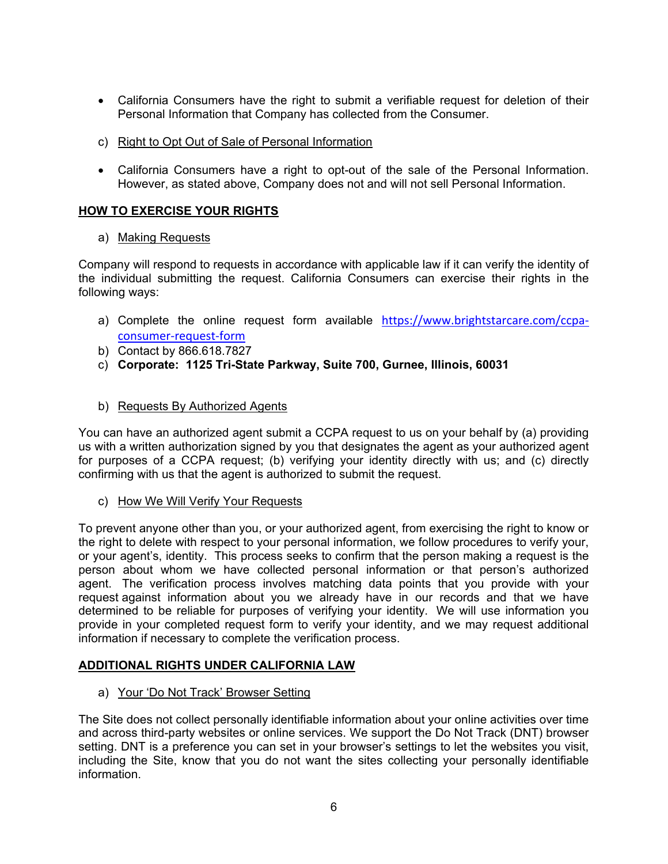- California Consumers have the right to submit a verifiable request for deletion of their Personal Information that Company has collected from the Consumer.
- c) Right to Opt Out of Sale of Personal Information
- California Consumers have a right to opt-out of the sale of the Personal Information. However, as stated above, Company does not and will not sell Personal Information.

# **HOW TO EXERCISE YOUR RIGHTS**

## a) Making Requests

Company will respond to requests in accordance with applicable law if it can verify the identity of the individual submitting the request. California Consumers can exercise their rights in the following ways:

- a) Complete the online request form available [https://www.brightstarcare.com/ccpa](https://www.brightstarcare.com/ccpa-consumer-request-form)[consumer-request-form](https://www.brightstarcare.com/ccpa-consumer-request-form)
- b) Contact by 866.618.7827
- c) **Corporate: 1125 Tri-State Parkway, Suite 700, Gurnee, Illinois, 60031**

## b) Requests By Authorized Agents

You can have an authorized agent submit a CCPA request to us on your behalf by (a) providing us with a written authorization signed by you that designates the agent as your authorized agent for purposes of a CCPA request; (b) verifying your identity directly with us; and (c) directly confirming with us that the agent is authorized to submit the request.

c) How We Will Verify Your Requests

To prevent anyone other than you, or your authorized agent, from exercising the right to know or the right to delete with respect to your personal information, we follow procedures to verify your, or your agent's, identity. This process seeks to confirm that the person making a request is the person about whom we have collected personal information or that person's authorized agent. The verification process involves matching data points that you provide with your request against information about you we already have in our records and that we have determined to be reliable for purposes of verifying your identity. We will use information you provide in your completed request form to verify your identity, and we may request additional information if necessary to complete the verification process.

## **ADDITIONAL RIGHTS UNDER CALIFORNIA LAW**

## a) Your 'Do Not Track' Browser Setting

The Site does not collect personally identifiable information about your online activities over time and across third-party websites or online services. We support the Do Not Track (DNT) browser setting. DNT is a preference you can set in your browser's settings to let the websites you visit, including the Site, know that you do not want the sites collecting your personally identifiable information.